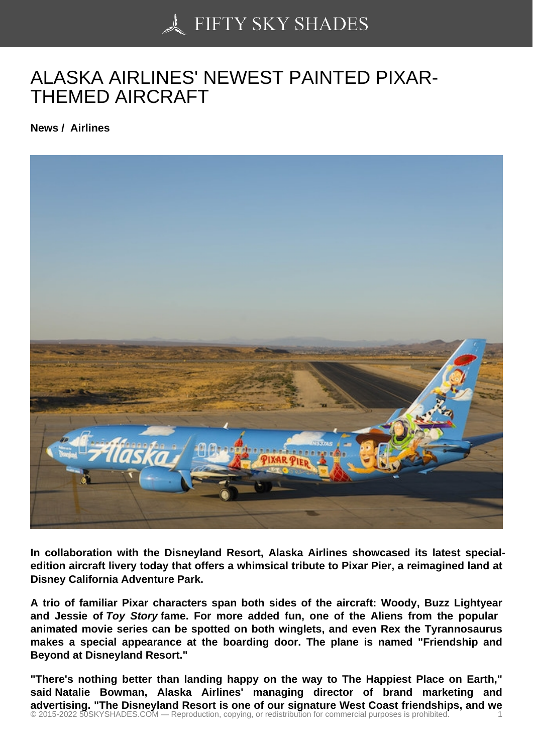## [ALASKA AIRLINES' NE](https://50skyshades.com)WEST PAINTED PIXAR-THEMED AIRCRAFT

News / Airlines

In collaboration with the Disneyland Resort, Alaska Airlines showcased its latest specialedition aircraft livery today that offers a whimsical tribute to Pixar Pier, a reimagined land at Disney California Adventure Park.

A trio of familiar Pixar characters span both sides of the aircraft: Woody, Buzz Lightyear and Jessie of Toy Story fame. For more added fun, one of the Aliens from the popular animated movie series can be spotted on both winglets, and even Rex the Tyrannosaurus makes a special appearance at the boarding door. The plane is named "Friendship and Beyond at Disneyland Resort."

"There's nothing better than landing happy on the way to The Happiest Place on Earth," said Natalie Bowman, Alaska Airlines' managing director of brand marketing and advertising. "The Disneyland Resort is one of our signature West Coast friendships, and we © 2015-2022 50SKYSHADES.COM — Reproduction, copying, or redistribution for commercial purposes is prohibited. 1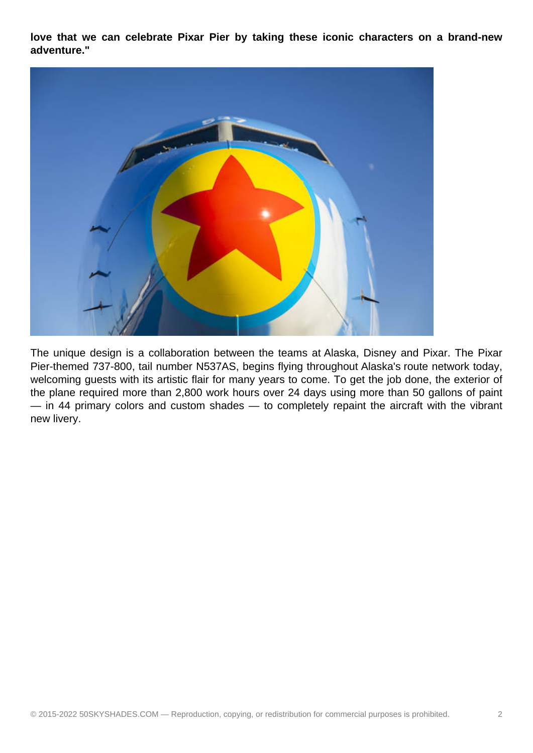**love that we can celebrate Pixar Pier by taking these iconic characters on a brand-new adventure."** 



The unique design is a collaboration between the teams at Alaska, Disney and Pixar. The Pixar Pier-themed 737-800, tail number N537AS, begins flying throughout Alaska's route network today, welcoming guests with its artistic flair for many years to come. To get the job done, the exterior of the plane required more than 2,800 work hours over 24 days using more than 50 gallons of paint — in 44 primary colors and custom shades — to completely repaint the aircraft with the vibrant new livery.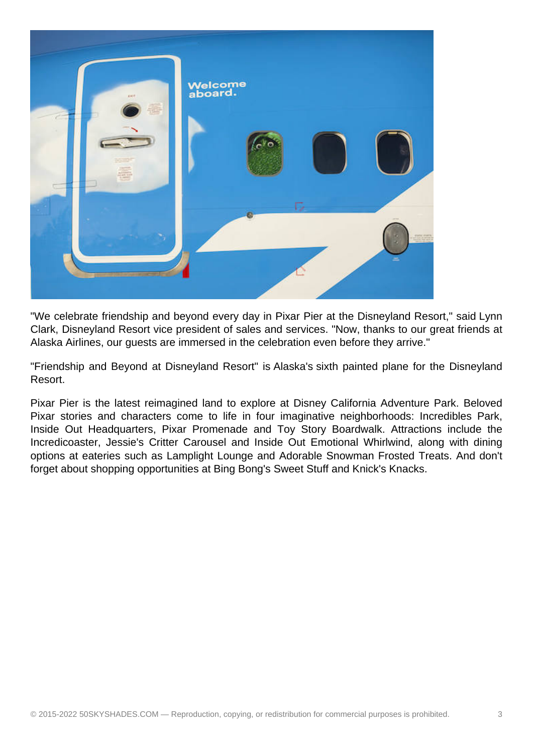

"We celebrate friendship and beyond every day in Pixar Pier at the Disneyland Resort," said Lynn Clark, Disneyland Resort vice president of sales and services. "Now, thanks to our great friends at Alaska Airlines, our guests are immersed in the celebration even before they arrive."

"Friendship and Beyond at Disneyland Resort" is Alaska's sixth painted plane for the Disneyland Resort.

Pixar Pier is the latest reimagined land to explore at Disney California Adventure Park. Beloved Pixar stories and characters come to life in four imaginative neighborhoods: Incredibles Park, Inside Out Headquarters, Pixar Promenade and Toy Story Boardwalk. Attractions include the Incredicoaster, Jessie's Critter Carousel and Inside Out Emotional Whirlwind, along with dining options at eateries such as Lamplight Lounge and Adorable Snowman Frosted Treats. And don't forget about shopping opportunities at Bing Bong's Sweet Stuff and Knick's Knacks.